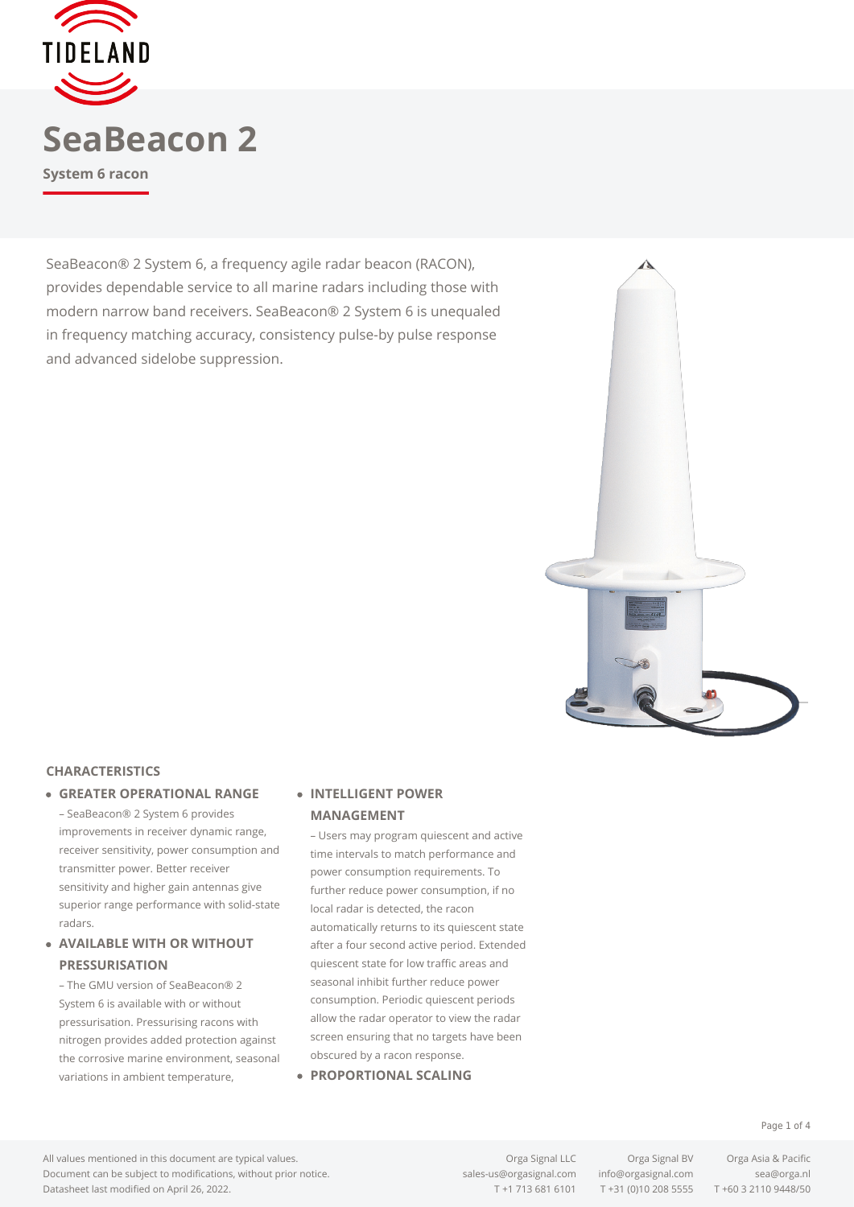

SeaBeacon® 2 System 6, a frequency agile radar beacon (RACON), provides dependable service to all marine radars including those with modern narrow band receivers. SeaBeacon® 2 System 6 is unequaled in frequency matching accuracy, consistency pulse-by pulse response and advanced sidelobe suppression.



#### **CHARACTERISTICS**

**GREATER OPERATIONAL RANGE**

– SeaBeacon® 2 System 6 provides improvements in receiver dynamic range, receiver sensitivity, power consumption and transmitter power. Better receiver sensitivity and higher gain antennas give superior range performance with solid-state radars.

### **AVAILABLE WITH OR WITHOUT PRESSURISATION**

– The GMU version of SeaBeacon® 2 System 6 is available with or without pressurisation. Pressurising racons with nitrogen provides added protection against the corrosive marine environment, seasonal variations in ambient temperature,

### **INTELLIGENT POWER MANAGEMENT**

– Users may program quiescent and active time intervals to match performance and power consumption requirements. To further reduce power consumption, if no local radar is detected, the racon automatically returns to its quiescent state after a four second active period. Extended quiescent state for low traffic areas and seasonal inhibit further reduce power consumption. Periodic quiescent periods allow the radar operator to view the radar screen ensuring that no targets have been obscured by a racon response.

**PROPORTIONAL SCALING**

All values mentioned in this document are typical values. Document can be subject to modifications, without prior notice. Datasheet last modified on April 26, 2022.

[sales-us@orgasignal.com](mailto:sales-us@orgasignal.com) [info@orgasignal.com](mailto:info@orgasignal.com) [sea@orga.nl](mailto:sales-us@orgasignal.com)

Orga Signal LLC Orga Signal BV Orga Asia & Pacific T +1 713 681 6101 T +31 (0)10 208 5555 T +60 3 2110 9448/50

Page 1 of 4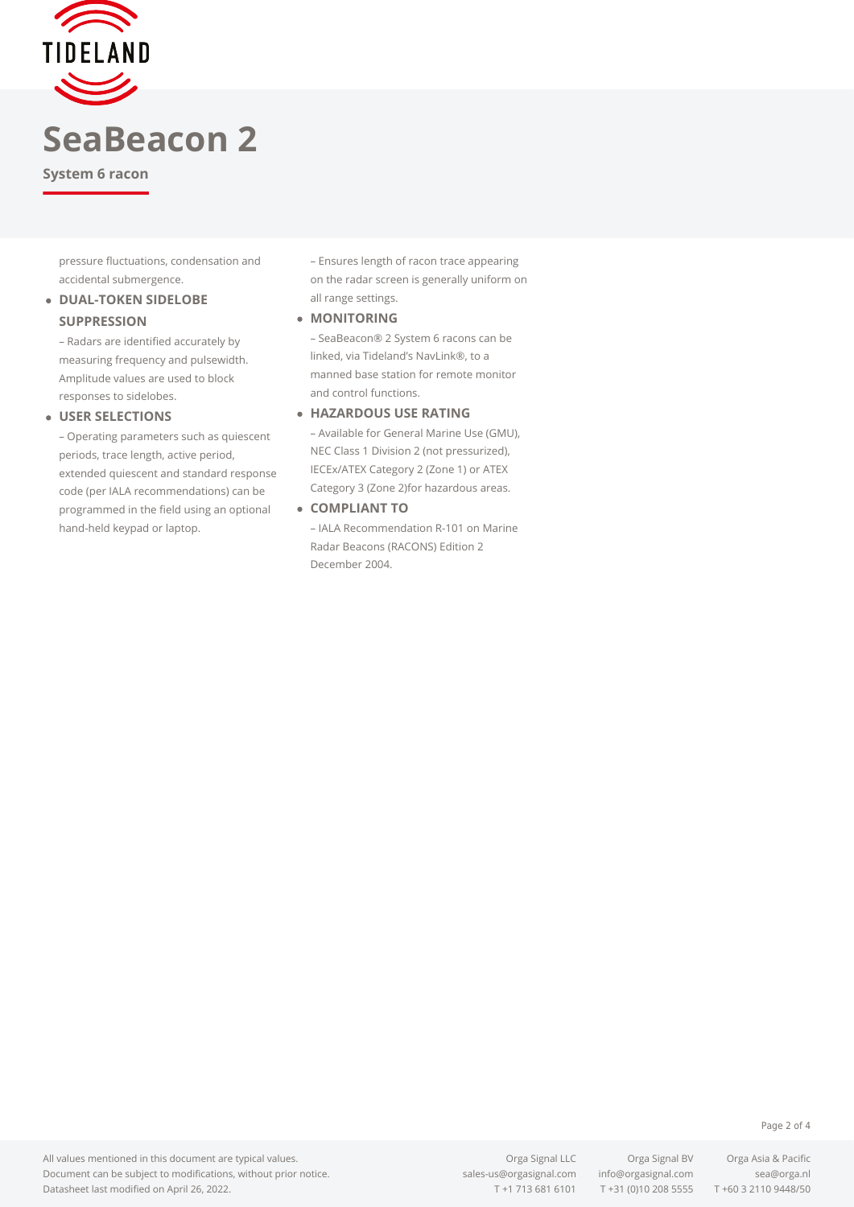

# **SeaBeacon 2**

**System 6 racon**

pressure fluctuations, condensation and accidental submergence.

### **.** DUAL-TOKEN SIDELOBE **SUPPRESSION**

– Radars are identified accurately by measuring frequency and pulsewidth. Amplitude values are used to block responses to sidelobes.

#### **USER SELECTIONS**

– Operating parameters such as quiescent periods, trace length, active period, extended quiescent and standard response code (per IALA recommendations) can be programmed in the field using an optional hand-held keypad or laptop.

– Ensures length of racon trace appearing on the radar screen is generally uniform on all range settings.

**MONITORING**

– SeaBeacon® 2 System 6 racons can be linked, via Tideland's NavLink®, to a manned base station for remote monitor and control functions.

#### **HAZARDOUS USE RATING**

– Available for General Marine Use (GMU), NEC Class 1 Division 2 (not pressurized), IECEx/ATEX Category 2 (Zone 1) or ATEX Category 3 (Zone 2)for hazardous areas.

**COMPLIANT TO**

– IALA Recommendation R-101 on Marine Radar Beacons (RACONS) Edition 2 December 2004.

Orga Signal LLC Orga Signal BV Orga Asia & Pacific T +1 713 681 6101 T +31 (0)10 208 5555 T +60 3 2110 9448/50

#### Page 2 of 4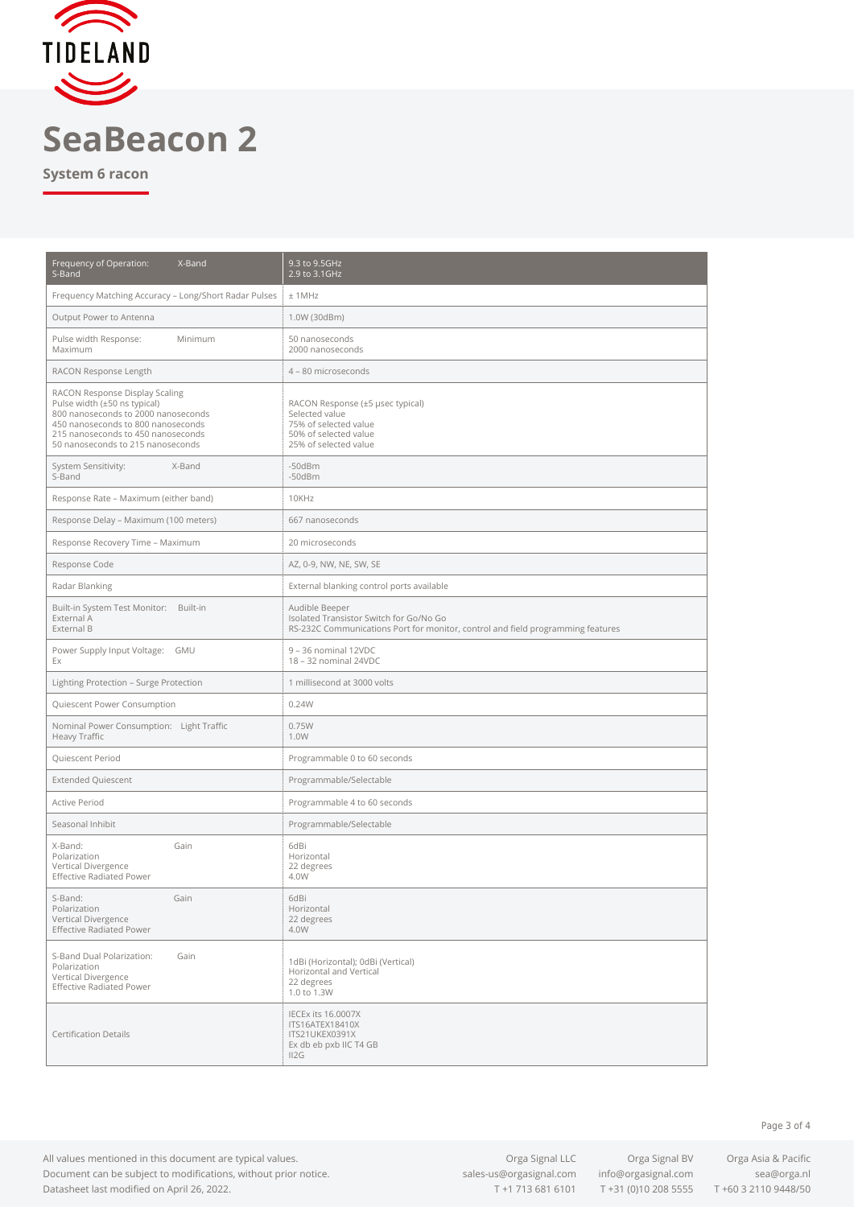

## **SeaBeacon 2**

**System 6 racon**

| Frequency of Operation:<br>X-Band<br>S-Band                                                                                                                                                                            | 9.3 to 9.5GHz<br>2.9 to 3.1GHz                                                                                                               |
|------------------------------------------------------------------------------------------------------------------------------------------------------------------------------------------------------------------------|----------------------------------------------------------------------------------------------------------------------------------------------|
| Frequency Matching Accuracy - Long/Short Radar Pulses                                                                                                                                                                  | ±1MHz                                                                                                                                        |
| Output Power to Antenna                                                                                                                                                                                                | 1.0W (30dBm)                                                                                                                                 |
| Pulse width Response:<br>Minimum<br>Maximum                                                                                                                                                                            | 50 nanoseconds<br>2000 nanoseconds                                                                                                           |
| RACON Response Length                                                                                                                                                                                                  | 4 - 80 microseconds                                                                                                                          |
| RACON Response Display Scaling<br>Pulse width (±50 ns typical)<br>800 nanoseconds to 2000 nanoseconds<br>450 nanoseconds to 800 nanoseconds<br>215 nanoseconds to 450 nanoseconds<br>50 nanoseconds to 215 nanoseconds | RACON Response (±5 µsec typical)<br>Selected value<br>75% of selected value<br>50% of selected value<br>25% of selected value                |
| System Sensitivity:<br>X-Band<br>S-Band                                                                                                                                                                                | $-50dBm$<br>$-50dBm$                                                                                                                         |
| Response Rate - Maximum (either band)                                                                                                                                                                                  | 10KHz                                                                                                                                        |
| Response Delay - Maximum (100 meters)                                                                                                                                                                                  | 667 nanoseconds                                                                                                                              |
| Response Recovery Time - Maximum                                                                                                                                                                                       | 20 microseconds                                                                                                                              |
| Response Code                                                                                                                                                                                                          | AZ, 0-9, NW, NE, SW, SE                                                                                                                      |
| Radar Blanking                                                                                                                                                                                                         | External blanking control ports available                                                                                                    |
| Built-in System Test Monitor: Built-in<br>External A<br>External B                                                                                                                                                     | Audible Beeper<br>Isolated Transistor Switch for Go/No Go<br>RS-232C Communications Port for monitor, control and field programming features |
| Power Supply Input Voltage: GMU<br>Ex                                                                                                                                                                                  | 9 - 36 nominal 12VDC<br>18 - 32 nominal 24VDC                                                                                                |
| Lighting Protection - Surge Protection                                                                                                                                                                                 | 1 millisecond at 3000 volts                                                                                                                  |
| Quiescent Power Consumption                                                                                                                                                                                            | 0.24W                                                                                                                                        |
| Nominal Power Consumption: Light Traffic<br>Heavy Traffic                                                                                                                                                              | 0.75W<br>1.0W                                                                                                                                |
| Quiescent Period                                                                                                                                                                                                       | Programmable 0 to 60 seconds                                                                                                                 |
| <b>Extended Quiescent</b>                                                                                                                                                                                              | Programmable/Selectable                                                                                                                      |
| Active Period                                                                                                                                                                                                          | Programmable 4 to 60 seconds                                                                                                                 |
| Seasonal Inhibit                                                                                                                                                                                                       | Programmable/Selectable                                                                                                                      |
| X-Band:<br>Gain<br>Polarization<br>Vertical Divergence<br><b>Effective Radiated Power</b>                                                                                                                              | 6dBi<br>Horizontal<br>22 degrees<br>4.0W                                                                                                     |
| S-Band:<br>Gain<br>Polarization<br>Vertical Divergence<br><b>Effective Radiated Power</b>                                                                                                                              | 6dBi<br>Horizontal<br>22 degrees<br>4.0W                                                                                                     |
| S-Band Dual Polarization:<br>Gain<br>Polarization<br>Vertical Divergence<br><b>Effective Radiated Power</b>                                                                                                            | 1dBi (Horizontal); 0dBi (Vertical)<br>Horizontal and Vertical<br>22 degrees<br>1.0 to 1.3W                                                   |
| <b>Certification Details</b>                                                                                                                                                                                           | IECEx its 16.0007X<br>ITS16ATEX18410X<br>ITS21UKEX0391X<br>Ex db eb pxb IIC T4 GB<br>II2G                                                    |

All values mentioned in this document are typical values. Document can be subject to modifications, without prior notice. Datasheet last modified on April 26, 2022.

[sales-us@orgasignal.com](mailto:sales-us@orgasignal.com) [info@orgasignal.com](mailto:info@orgasignal.com) [sea@orga.nl](mailto:sales-us@orgasignal.com)

Orga Signal LLC Orga Signal BV Orga Asia & Pacific T +1 713 681 6101 T +31 (0)10 208 5555 T +60 3 2110 9448/50

Page 3 of 4